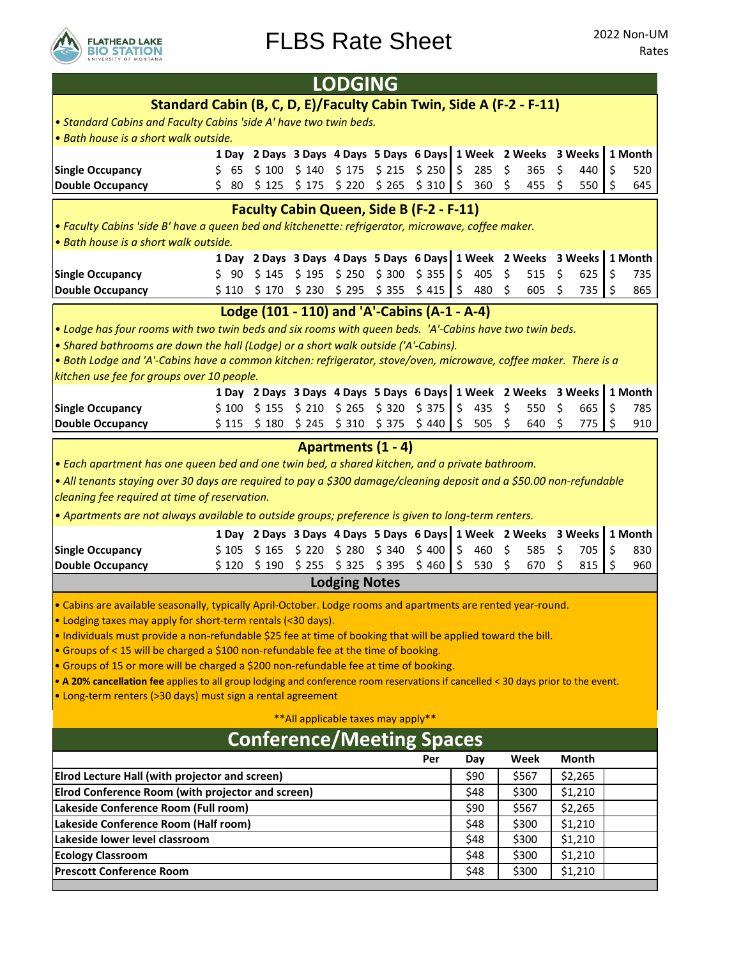

|                                                                                                                                                                                                        | <b>LODGING</b> |       |                |                                                                          |        |               |         |              |      |                |    |                    |                      |
|--------------------------------------------------------------------------------------------------------------------------------------------------------------------------------------------------------|----------------|-------|----------------|--------------------------------------------------------------------------|--------|---------------|---------|--------------|------|----------------|----|--------------------|----------------------|
| Standard Cabin (B, C, D, E)/Faculty Cabin Twin, Side A (F-2 - F-11)                                                                                                                                    |                |       |                |                                                                          |        |               |         |              |      |                |    |                    |                      |
| . Standard Cabins and Faculty Cabins 'side A' have two twin beds.                                                                                                                                      |                |       |                |                                                                          |        |               |         |              |      |                |    |                    |                      |
| · Bath house is a short walk outside.                                                                                                                                                                  |                |       |                |                                                                          |        |               |         |              |      |                |    |                    |                      |
|                                                                                                                                                                                                        |                |       |                | 1 Day 2 Days 3 Days 4 Days 5 Days 6 Days 1 Week 2 Weeks 3 Weeks          |        |               |         |              |      |                |    |                    | 1 Month              |
| <b>Single Occupancy</b>                                                                                                                                                                                | \$ 65          |       |                | $$100$ $$140$ $$175$ $$215$ $$250$                                       |        |               | $\zeta$ | 285          | \$   | 365            | S  | 440                | \$<br>520            |
| <b>Double Occupancy</b>                                                                                                                                                                                | Ś.<br>80       | \$125 | \$175          | \$220                                                                    | \$265  | \$310         | \$      | 360          | \$   | 455            | S  | 550                | \$<br>645            |
| <b>Faculty Cabin Queen, Side B (F-2 - F-11)</b>                                                                                                                                                        |                |       |                |                                                                          |        |               |         |              |      |                |    |                    |                      |
| . Faculty Cabins 'side B' have a queen bed and kitchenette: refrigerator, microwave, coffee maker                                                                                                      |                |       |                |                                                                          |        |               |         |              |      |                |    |                    |                      |
| · Bath house is a short walk outside.                                                                                                                                                                  |                |       |                |                                                                          |        |               |         |              |      |                |    |                    |                      |
| <b>Single Occupancy</b>                                                                                                                                                                                | \$ 90          | \$145 |                | 1 Day 2 Days 3 Days 4 Days 5 Days 6 Days 1 Week 2 Weeks<br>$$195$ $$250$ |        | $$300$ $$355$ | \$      | 405          | \$   | 515            | Ŝ. | 3 Weeks<br>625     | \$<br>1 Month<br>735 |
| <b>Double Occupancy</b>                                                                                                                                                                                |                |       |                | $$110 \t$170 \t$230 \t$295 \t$355$                                       |        | \$415         | \$      | 480          | \$   | 605            | S  | 735                | \$<br>865            |
|                                                                                                                                                                                                        |                |       |                |                                                                          |        |               |         |              |      |                |    |                    |                      |
|                                                                                                                                                                                                        |                |       |                | Lodge (101 - 110) and 'A'-Cabins (A-1 - A-4)                             |        |               |         |              |      |                |    |                    |                      |
| . Lodge has four rooms with two twin beds and six rooms with queen beds. 'A'-Cabins have two twin beds.                                                                                                |                |       |                |                                                                          |        |               |         |              |      |                |    |                    |                      |
| • Shared bathrooms are down the hall (Lodge) or a short walk outside ('A'-Cabins).<br>. Both Lodge and 'A'-Cabins have a common kitchen: refrigerator, stove/oven, microwave, coffee maker. There is a |                |       |                |                                                                          |        |               |         |              |      |                |    |                    |                      |
| kitchen use fee for groups over 10 people.                                                                                                                                                             |                |       |                |                                                                          |        |               |         |              |      |                |    |                    |                      |
|                                                                                                                                                                                                        |                |       |                | 1 Day 2 Days 3 Days 4 Days 5 Days 6 Days 1 Week 2 Weeks 3 Weeks          |        |               |         |              |      |                |    |                    | 1 Month              |
| <b>Single Occupancy</b>                                                                                                                                                                                | \$100          |       |                | $$155$ $$210$ $$265$ $$320$ $$375$                                       |        |               | \$      | 435          | \$   | 550            | Ŝ. | 665                | \$<br>785            |
| <b>Double Occupancy</b>                                                                                                                                                                                | \$115          | \$180 |                | \$245 \$310 \$375 \$440                                                  |        |               |         | \$505        | \$   | 640            |    | 775                | \$<br>910            |
|                                                                                                                                                                                                        |                |       |                | <b>Apartments (1 - 4)</b>                                                |        |               |         |              |      |                |    |                    |                      |
| . Each apartment has one queen bed and one twin bed, a shared kitchen, and a private bathroom.                                                                                                         |                |       |                |                                                                          |        |               |         |              |      |                |    |                    |                      |
| • All tenants staying over 30 days are required to pay a \$300 damage/cleaning deposit and a \$50.00 non-refundable                                                                                    |                |       |                |                                                                          |        |               |         |              |      |                |    |                    |                      |
| cleaning fee required at time of reservation.                                                                                                                                                          |                |       |                |                                                                          |        |               |         |              |      |                |    |                    |                      |
| • Apartments are not always available to outside groups; preference is given to long-term renters.                                                                                                     |                |       |                |                                                                          |        |               |         |              |      |                |    |                    |                      |
|                                                                                                                                                                                                        |                |       |                | 1 Day 2 Days 3 Days 4 Days 5 Days 6 Days 1 Week 2 Weeks 3 Weeks          |        |               |         |              |      |                |    |                    | 1 Month              |
| <b>Single Occupancy</b>                                                                                                                                                                                | \$105          | \$165 | $$220$$ $$280$ |                                                                          |        |               |         | 460          | \$   | 585            | Ŝ. | 705                | \$<br>830            |
|                                                                                                                                                                                                        |                |       |                |                                                                          | \$ 340 | \$400         | \$      |              |      |                |    |                    |                      |
| Double Occupancy                                                                                                                                                                                       |                |       |                | $$120$ $$190$ $$255$ $$325$ $$395$                                       |        | \$460         | \$      | 530          | - \$ | 670            | Ŝ. | 815                | \$<br>960            |
|                                                                                                                                                                                                        |                |       |                | <b>Lodging Notes</b>                                                     |        |               |         |              |      |                |    |                    |                      |
|                                                                                                                                                                                                        |                |       |                |                                                                          |        |               |         |              |      |                |    |                    |                      |
| . Cabins are available seasonally, typically April-October. Lodge rooms and apartments are rented year-round.<br>. Lodging taxes may apply for short-term rentals (<30 days).                          |                |       |                |                                                                          |        |               |         |              |      |                |    |                    |                      |
| . Individuals must provide a non-refundable \$25 fee at time of booking that will be applied toward the bill.                                                                                          |                |       |                |                                                                          |        |               |         |              |      |                |    |                    |                      |
| • Groups of < 15 will be charged a \$100 non-refundable fee at the time of booking.                                                                                                                    |                |       |                |                                                                          |        |               |         |              |      |                |    |                    |                      |
| • Groups of 15 or more will be charged a \$200 non-refundable fee at time of booking.                                                                                                                  |                |       |                |                                                                          |        |               |         |              |      |                |    |                    |                      |
| . A 20% cancellation fee applies to all group lodging and conference room reservations if cancelled < 30 days prior to the event.                                                                      |                |       |                |                                                                          |        |               |         |              |      |                |    |                    |                      |
| · Long-term renters (>30 days) must sign a rental agreement                                                                                                                                            |                |       |                |                                                                          |        |               |         |              |      |                |    |                    |                      |
|                                                                                                                                                                                                        |                |       |                | ** All applicable taxes may apply**                                      |        |               |         |              |      |                |    |                    |                      |
|                                                                                                                                                                                                        |                |       |                | <b>Conference/Meeting Spaces</b>                                         |        |               |         |              |      |                |    |                    |                      |
|                                                                                                                                                                                                        |                |       |                |                                                                          |        | Per           |         | Day          |      | Week           |    | <b>Month</b>       |                      |
| <b>Elrod Lecture Hall (with projector and screen)</b>                                                                                                                                                  |                |       |                |                                                                          |        |               |         | \$90         |      | \$567          |    | \$2,265            |                      |
| <b>Elrod Conference Room (with projector and screen)</b>                                                                                                                                               |                |       |                |                                                                          |        |               |         | \$48         |      | \$300          |    | \$1,210            |                      |
| Lakeside Conference Room (Full room)                                                                                                                                                                   |                |       |                |                                                                          |        |               |         | \$90         |      | \$567          |    | \$2,265            |                      |
| Lakeside Conference Room (Half room)                                                                                                                                                                   |                |       |                |                                                                          |        |               |         | \$48         |      | \$300          |    | \$1,210            |                      |
| Lakeside lower level classroom                                                                                                                                                                         |                |       |                |                                                                          |        |               |         | \$48         |      | \$300          |    | \$1,210            |                      |
| <b>Ecology Classroom</b><br><b>Prescott Conference Room</b>                                                                                                                                            |                |       |                |                                                                          |        |               |         | \$48<br>\$48 |      | \$300<br>\$300 |    | \$1,210<br>\$1,210 |                      |